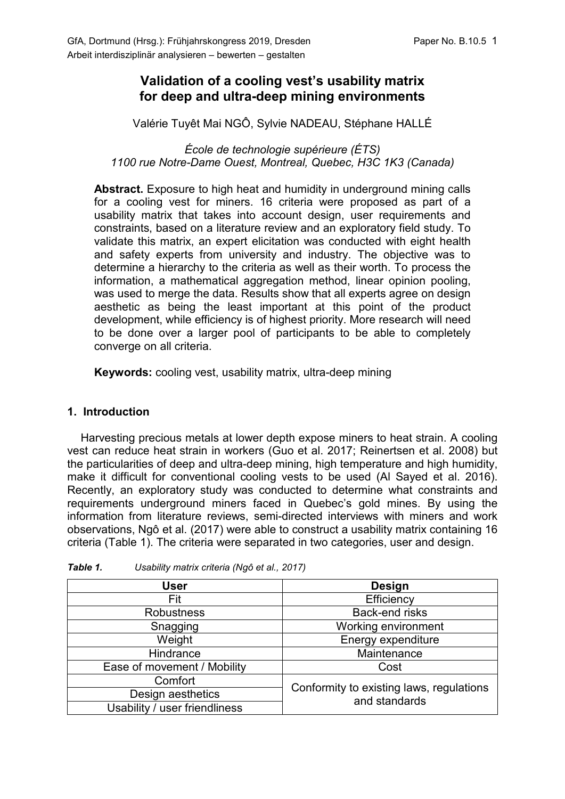## **Validation of a cooling vest's usability matrix for deep and ultra-deep mining environments**

Valérie Tuyêt Mai NGÔ, Sylvie NADEAU, Stéphane HALLÉ

*École de technologie supérieure (ÉTS) 1100 rue Notre-Dame Ouest, Montreal, Quebec, H3C 1K3 (Canada)*

**Abstract.** Exposure to high heat and humidity in underground mining calls for a cooling vest for miners. 16 criteria were proposed as part of a usability matrix that takes into account design, user requirements and constraints, based on a literature review and an exploratory field study. To validate this matrix, an expert elicitation was conducted with eight health and safety experts from university and industry. The objective was to determine a hierarchy to the criteria as well as their worth. To process the information, a mathematical aggregation method, linear opinion pooling, was used to merge the data. Results show that all experts agree on design aesthetic as being the least important at this point of the product development, while efficiency is of highest priority. More research will need to be done over a larger pool of participants to be able to completely converge on all criteria.

**Keywords:** cooling vest, usability matrix, ultra-deep mining

## **1. Introduction**

Harvesting precious metals at lower depth expose miners to heat strain. A cooling vest can reduce heat strain in workers (Guo et al. 2017; Reinertsen et al. 2008) but the particularities of deep and ultra-deep mining, high temperature and high humidity, make it difficult for conventional cooling vests to be used (Al Sayed et al. 2016). Recently, an exploratory study was conducted to determine what constraints and requirements underground miners faced in Quebec's gold mines. By using the information from literature reviews, semi-directed interviews with miners and work observations, Ngô et al. (2017) were able to construct a usability matrix containing 16 criteria (Table 1). The criteria were separated in two categories, user and design.

| <b>User</b>                   | <b>Design</b>                                             |  |
|-------------------------------|-----------------------------------------------------------|--|
| Fit                           | Efficiency                                                |  |
| Robustness                    | Back-end risks                                            |  |
| Snagging                      | Working environment                                       |  |
| Weight                        | Energy expenditure                                        |  |
| Hindrance                     | Maintenance                                               |  |
| Ease of movement / Mobility   | Cost                                                      |  |
| Comfort                       | Conformity to existing laws, regulations<br>and standards |  |
| Design aesthetics             |                                                           |  |
| Usability / user friendliness |                                                           |  |

*Table 1. Usability matrix criteria (Ngô et al., 2017)*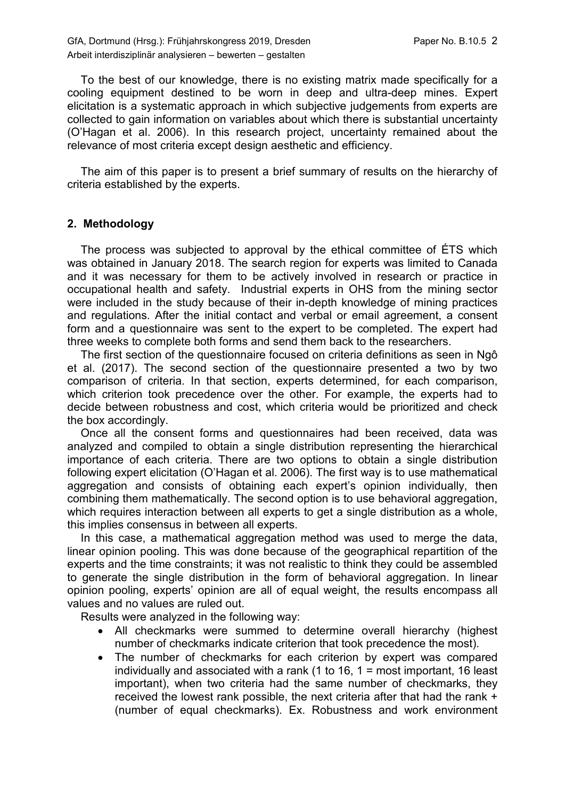GfA, Dortmund (Hrsg.): Frühjahrskongress 2019, Dresden Paper No. B.10.5 2 Arbeit interdisziplinär analysieren – bewerten – gestalten

To the best of our knowledge, there is no existing matrix made specifically for a cooling equipment destined to be worn in deep and ultra-deep mines. Expert elicitation is a systematic approach in which subjective judgements from experts are collected to gain information on variables about which there is substantial uncertainty (O'Hagan et al. 2006). In this research project, uncertainty remained about the relevance of most criteria except design aesthetic and efficiency.

The aim of this paper is to present a brief summary of results on the hierarchy of criteria established by the experts.

## **2. Methodology**

The process was subjected to approval by the ethical committee of ÉTS which was obtained in January 2018. The search region for experts was limited to Canada and it was necessary for them to be actively involved in research or practice in occupational health and safety. Industrial experts in OHS from the mining sector were included in the study because of their in-depth knowledge of mining practices and regulations. After the initial contact and verbal or email agreement, a consent form and a questionnaire was sent to the expert to be completed. The expert had three weeks to complete both forms and send them back to the researchers.

The first section of the questionnaire focused on criteria definitions as seen in Ngô et al. (2017). The second section of the questionnaire presented a two by two comparison of criteria. In that section, experts determined, for each comparison, which criterion took precedence over the other. For example, the experts had to decide between robustness and cost, which criteria would be prioritized and check the box accordingly.

Once all the consent forms and questionnaires had been received, data was analyzed and compiled to obtain a single distribution representing the hierarchical importance of each criteria. There are two options to obtain a single distribution following expert elicitation (O'Hagan et al. 2006). The first way is to use mathematical aggregation and consists of obtaining each expert's opinion individually, then combining them mathematically. The second option is to use behavioral aggregation, which requires interaction between all experts to get a single distribution as a whole, this implies consensus in between all experts.

In this case, a mathematical aggregation method was used to merge the data, linear opinion pooling. This was done because of the geographical repartition of the experts and the time constraints; it was not realistic to think they could be assembled to generate the single distribution in the form of behavioral aggregation. In linear opinion pooling, experts' opinion are all of equal weight, the results encompass all values and no values are ruled out.

Results were analyzed in the following way:

- All checkmarks were summed to determine overall hierarchy (highest number of checkmarks indicate criterion that took precedence the most).
- The number of checkmarks for each criterion by expert was compared individually and associated with a rank (1 to 16, 1 = most important, 16 least important), when two criteria had the same number of checkmarks, they received the lowest rank possible, the next criteria after that had the rank + (number of equal checkmarks). Ex. Robustness and work environment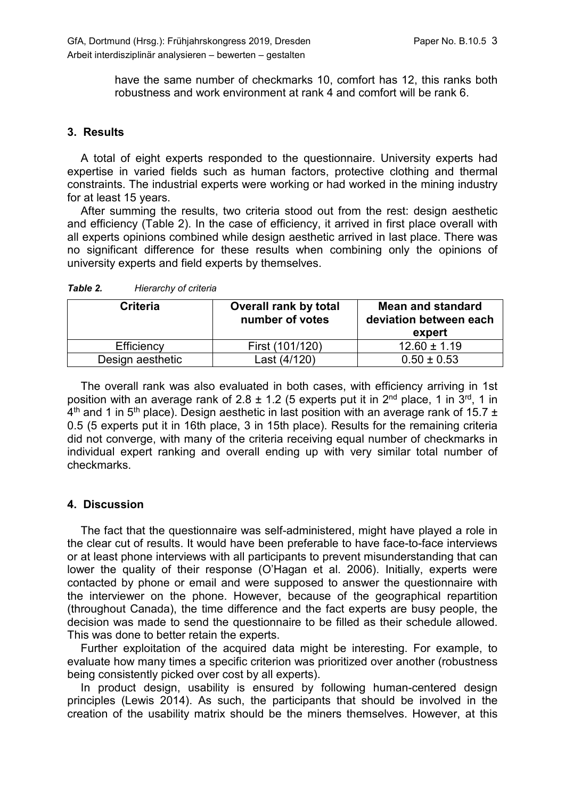have the same number of checkmarks 10, comfort has 12, this ranks both robustness and work environment at rank 4 and comfort will be rank 6.

## **3. Results**

A total of eight experts responded to the questionnaire. University experts had expertise in varied fields such as human factors, protective clothing and thermal constraints. The industrial experts were working or had worked in the mining industry for at least 15 years.

After summing the results, two criteria stood out from the rest: design aesthetic and efficiency (Table 2). In the case of efficiency, it arrived in first place overall with all experts opinions combined while design aesthetic arrived in last place. There was no significant difference for these results when combining only the opinions of university experts and field experts by themselves.

| Criteria         | <b>Overall rank by total</b><br>number of votes | <b>Mean and standard</b><br>deviation between each<br>expert |
|------------------|-------------------------------------------------|--------------------------------------------------------------|
| Efficiency       | First (101/120)                                 | $12.60 \pm 1.19$                                             |
| Design aesthetic | Last (4/120)                                    | $0.50 \pm 0.53$                                              |

*Table 2. Hierarchy of criteria*

The overall rank was also evaluated in both cases, with efficiency arriving in 1st position with an average rank of 2.8  $\pm$  1.2 (5 experts put it in 2<sup>nd</sup> place, 1 in 3<sup>rd</sup>, 1 in  $4<sup>th</sup>$  and 1 in 5<sup>th</sup> place). Design aesthetic in last position with an average rank of 15.7  $\pm$ 0.5 (5 experts put it in 16th place, 3 in 15th place). Results for the remaining criteria did not converge, with many of the criteria receiving equal number of checkmarks in individual expert ranking and overall ending up with very similar total number of checkmarks.

## **4. Discussion**

The fact that the questionnaire was self-administered, might have played a role in the clear cut of results. It would have been preferable to have face-to-face interviews or at least phone interviews with all participants to prevent misunderstanding that can lower the quality of their response (O'Hagan et al. 2006). Initially, experts were contacted by phone or email and were supposed to answer the questionnaire with the interviewer on the phone. However, because of the geographical repartition (throughout Canada), the time difference and the fact experts are busy people, the decision was made to send the questionnaire to be filled as their schedule allowed. This was done to better retain the experts.

Further exploitation of the acquired data might be interesting. For example, to evaluate how many times a specific criterion was prioritized over another (robustness being consistently picked over cost by all experts).

In product design, usability is ensured by following human-centered design principles (Lewis 2014). As such, the participants that should be involved in the creation of the usability matrix should be the miners themselves. However, at this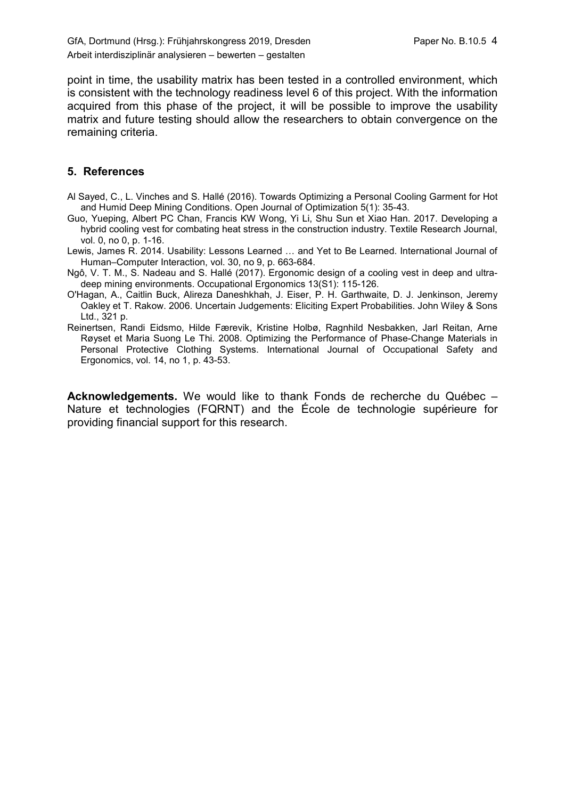point in time, the usability matrix has been tested in a controlled environment, which is consistent with the technology readiness level 6 of this project. With the information acquired from this phase of the project, it will be possible to improve the usability matrix and future testing should allow the researchers to obtain convergence on the remaining criteria.

## **5. References**

- Al Sayed, C., L. Vinches and S. Hallé (2016). Towards Optimizing a Personal Cooling Garment for Hot and Humid Deep Mining Conditions. Open Journal of Optimization 5(1): 35-43.
- Guo, Yueping, Albert PC Chan, Francis KW Wong, Yi Li, Shu Sun et Xiao Han. 2017. Developing a hybrid cooling vest for combating heat stress in the construction industry. Textile Research Journal, vol. 0, no 0, p. 1-16.
- Lewis, James R. 2014. Usability: Lessons Learned … and Yet to Be Learned. International Journal of Human–Computer Interaction, vol. 30, no 9, p. 663-684.
- Ngô, V. T. M., S. Nadeau and S. Hallé (2017). Ergonomic design of a cooling vest in deep and ultradeep mining environments. Occupational Ergonomics 13(S1): 115-126.
- O'Hagan, A., Caitlin Buck, Alireza Daneshkhah, J. Eiser, P. H. Garthwaite, D. J. Jenkinson, Jeremy Oakley et T. Rakow. 2006. Uncertain Judgements: Eliciting Expert Probabilities. John Wiley & Sons Ltd., 321 p.
- Reinertsen, Randi Eidsmo, Hilde Færevik, Kristine Holbø, Ragnhild Nesbakken, Jarl Reitan, Arne Røyset et Maria Suong Le Thi. 2008. Optimizing the Performance of Phase-Change Materials in Personal Protective Clothing Systems. International Journal of Occupational Safety and Ergonomics, vol. 14, no 1, p. 43-53.

**Acknowledgements.** We would like to thank Fonds de recherche du Québec – Nature et technologies (FQRNT) and the École de technologie supérieure for providing financial support for this research.